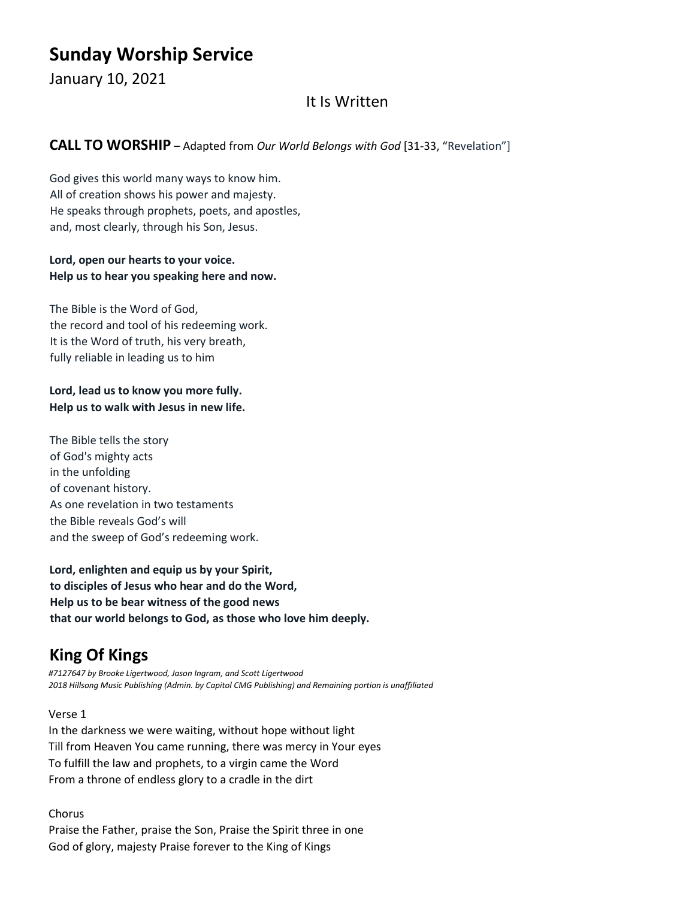# **Sunday Worship Service**

January 10, 2021

### It Is Written

#### **CALL TO WORSHIP** – Adapted from *Our World Belongs with God* [31-33, "Revelation"]

God gives this world many ways to know him. All of creation shows his power and majesty. He speaks through prophets, poets, and apostles, and, most clearly, through his Son, Jesus.

#### **Lord, open our hearts to your voice. Help us to hear you speaking here and now.**

The Bible is the Word of God, the record and tool of his redeeming work. It is the Word of truth, his very breath, fully reliable in leading us to him

#### **Lord, lead us to know you more fully. Help us to walk with Jesus in new life.**

The Bible tells the story of God's mighty acts in the unfolding of covenant history. As one revelation in two testaments the Bible reveals God's will and the sweep of God's redeeming work.

**Lord, enlighten and equip us by your Spirit, to disciples of Jesus who hear and do the Word, Help us to be bear witness of the good news that our world belongs to God, as those who love him deeply.**

## **King Of Kings**

*#7127647 by Brooke Ligertwood, Jason Ingram, and Scott Ligertwood 2018 Hillsong Music Publishing (Admin. by Capitol CMG Publishing) and Remaining portion is unaffiliated*

#### Verse 1

In the darkness we were waiting, without hope without light Till from Heaven You came running, there was mercy in Your eyes To fulfill the law and prophets, to a virgin came the Word From a throne of endless glory to a cradle in the dirt

#### Chorus

Praise the Father, praise the Son, Praise the Spirit three in one God of glory, majesty Praise forever to the King of Kings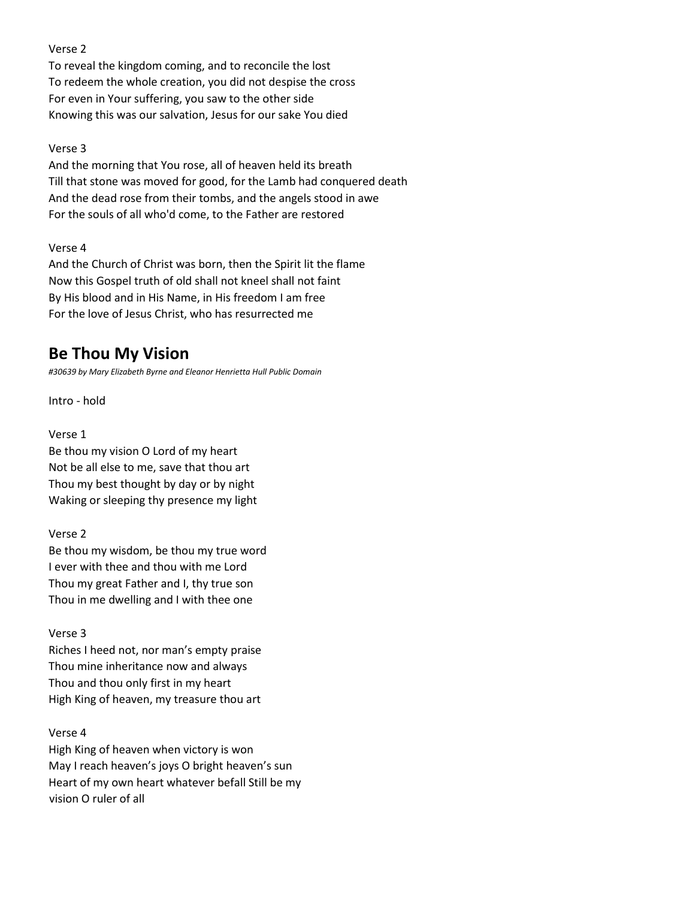#### Verse 2

To reveal the kingdom coming, and to reconcile the lost To redeem the whole creation, you did not despise the cross For even in Your suffering, you saw to the other side Knowing this was our salvation, Jesus for our sake You died

#### Verse 3

And the morning that You rose, all of heaven held its breath Till that stone was moved for good, for the Lamb had conquered death And the dead rose from their tombs, and the angels stood in awe For the souls of all who'd come, to the Father are restored

#### Verse 4

And the Church of Christ was born, then the Spirit lit the flame Now this Gospel truth of old shall not kneel shall not faint By His blood and in His Name, in His freedom I am free For the love of Jesus Christ, who has resurrected me

## **Be Thou My Vision**

*#30639 by Mary Elizabeth Byrne and Eleanor Henrietta Hull Public Domain*

Intro - hold

#### Verse 1

Be thou my vision O Lord of my heart Not be all else to me, save that thou art Thou my best thought by day or by night Waking or sleeping thy presence my light

#### Verse 2

Be thou my wisdom, be thou my true word I ever with thee and thou with me Lord Thou my great Father and I, thy true son Thou in me dwelling and I with thee one

#### Verse 3

Riches I heed not, nor man's empty praise Thou mine inheritance now and always Thou and thou only first in my heart High King of heaven, my treasure thou art

#### Verse 4

High King of heaven when victory is won May I reach heaven's joys O bright heaven's sun Heart of my own heart whatever befall Still be my vision O ruler of all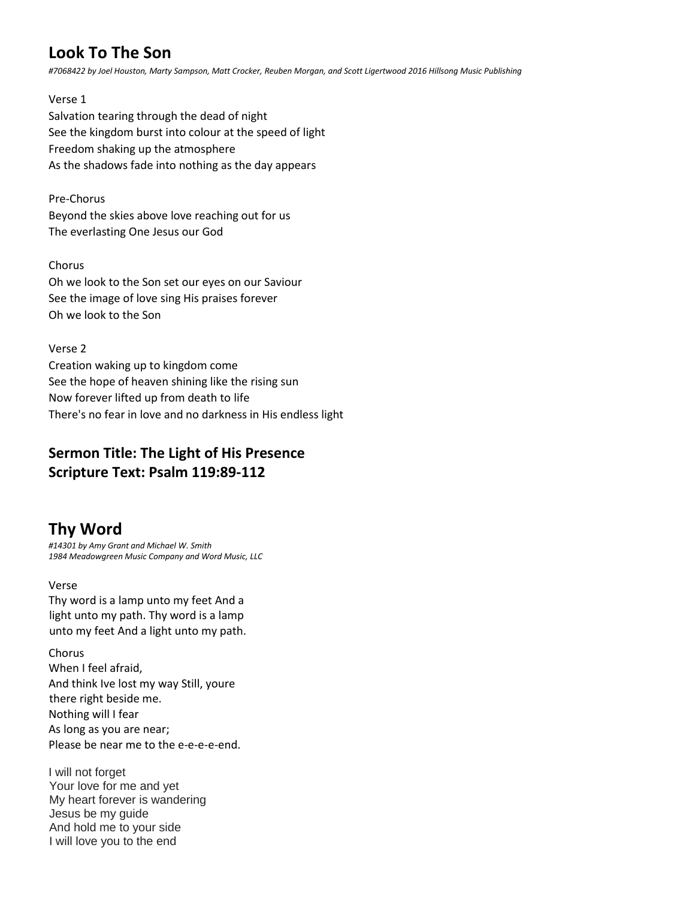## **Look To The Son**

*#7068422 by Joel Houston, Marty Sampson, Matt Crocker, Reuben Morgan, and Scott Ligertwood 2016 Hillsong Music Publishing*

Verse 1 Salvation tearing through the dead of night See the kingdom burst into colour at the speed of light Freedom shaking up the atmosphere As the shadows fade into nothing as the day appears

Pre-Chorus Beyond the skies above love reaching out for us The everlasting One Jesus our God

Chorus Oh we look to the Son set our eyes on our Saviour See the image of love sing His praises forever Oh we look to the Son

#### Verse 2

Creation waking up to kingdom come See the hope of heaven shining like the rising sun Now forever lifted up from death to life There's no fear in love and no darkness in His endless light

## **Sermon Title: The Light of His Presence Scripture Text: Psalm 119:89-112**

## **Thy Word**

*#14301 by Amy Grant and Michael W. Smith 1984 Meadowgreen Music Company and Word Music, LLC*

#### Verse

Thy word is a lamp unto my feet And a light unto my path. Thy word is a lamp unto my feet And a light unto my path.

Chorus When I feel afraid, And think Ive lost my way Still, youre there right beside me. Nothing will I fear As long as you are near; Please be near me to the e-e-e-e-end.

I will not forget Your love for me and yet My heart forever is wandering Jesus be my guide And hold me to your side I will love you to the end